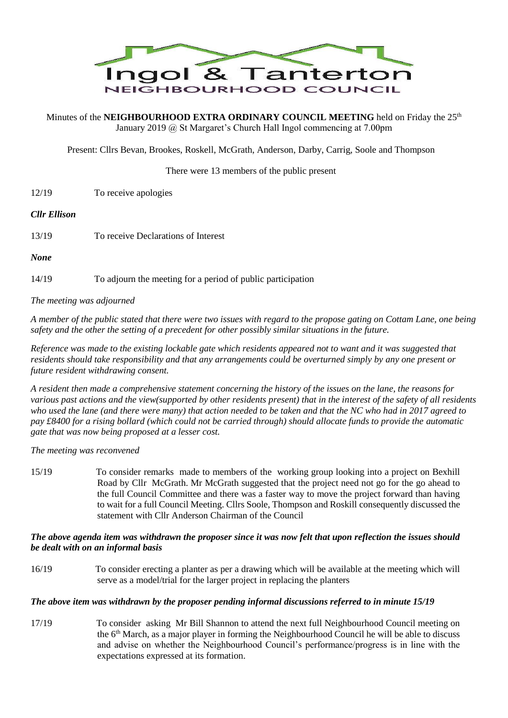

Minutes of the **NEIGHBOURHOOD EXTRA ORDINARY COUNCIL MEETING** held on Friday the 25<sup>th</sup> January 2019 @ St Margaret's Church Hall Ingol commencing at 7.00pm

Present: Cllrs Bevan, Brookes, Roskell, McGrath, Anderson, Darby, Carrig, Soole and Thompson

### There were 13 members of the public present

12/19 To receive apologies

#### *Cllr Ellison*

- 13/19 To receive Declarations of Interest
- *None*

14/19 To adjourn the meeting for a period of public participation

*The meeting was adjourned*

*A member of the public stated that there were two issues with regard to the propose gating on Cottam Lane, one being safety and the other the setting of a precedent for other possibly similar situations in the future.*

*Reference was made to the existing lockable gate which residents appeared not to want and it was suggested that residents should take responsibility and that any arrangements could be overturned simply by any one present or future resident withdrawing consent.*

*A resident then made a comprehensive statement concerning the history of the issues on the lane, the reasons for various past actions and the view(supported by other residents present) that in the interest of the safety of all residents who used the lane (and there were many) that action needed to be taken and that the NC who had in 2017 agreed to pay £8400 for a rising bollard (which could not be carried through) should allocate funds to provide the automatic gate that was now being proposed at a lesser cost.*

*The meeting was reconvened*

15/19 To consider remarks made to members of the working group looking into a project on Bexhill Road by Cllr McGrath. Mr McGrath suggested that the project need not go for the go ahead to the full Council Committee and there was a faster way to move the project forward than having to wait for a full Council Meeting. Cllrs Soole, Thompson and Roskill consequently discussed the statement with Cllr Anderson Chairman of the Council

## *The above agenda item was withdrawn the proposer since it was now felt that upon reflection the issues should be dealt with on an informal basis*

16/19 To consider erecting a planter as per a drawing which will be available at the meeting which will serve as a model/trial for the larger project in replacing the planters

## *The above item was withdrawn by the proposer pending informal discussions referred to in minute 15/19*

17/19 To consider asking Mr Bill Shannon to attend the next full Neighbourhood Council meeting on the 6th March, as a major player in forming the Neighbourhood Council he will be able to discuss and advise on whether the Neighbourhood Council's performance/progress is in line with the expectations expressed at its formation.